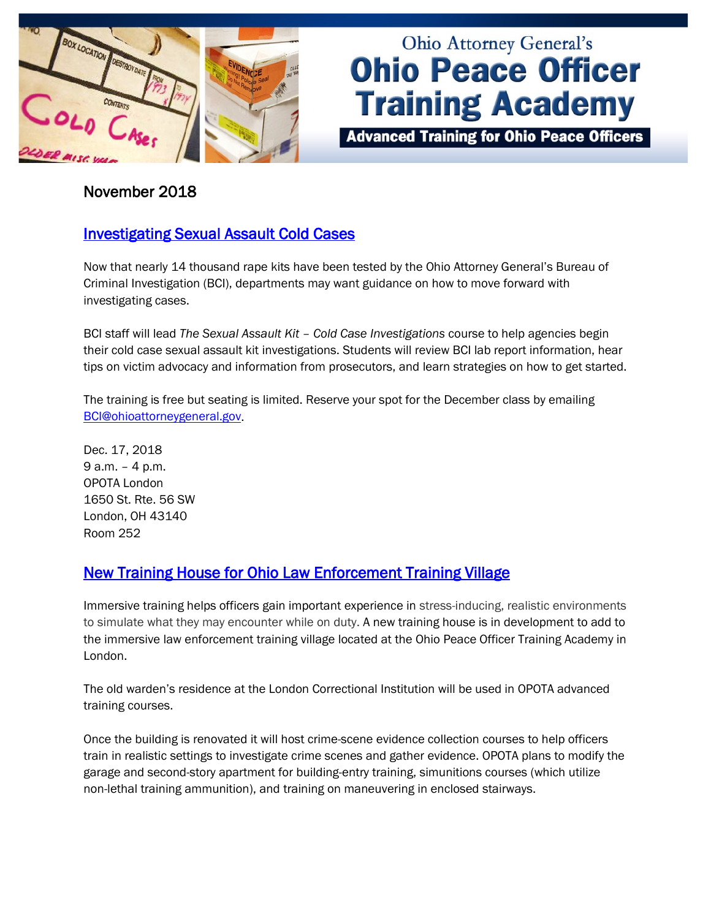

# **Ohio Attorney General's Ohio Peace Officer Training Academy**

**Advanced Training for Ohio Peace Officers** 

#### November 2018

### **Investigating Sexual Assault Cold Cases**

Now that nearly 14 thousand rape kits have been tested by the Ohio Attorney General's Bureau of Criminal Investigation (BCI), departments may want guidance on how to move forward with investigating cases.

BCI staff will lead *The Sexual Assault Kit – Cold Case Investigations* course to help agencies begin their cold case sexual assault kit investigations. Students will review BCI lab report information, hear tips on victim advocacy and information from prosecutors, and learn strategies on how to get started.

The training is free but seating is limited. Reserve your spot for the December class by emailing [BCI@ohioattorneygeneral.gov.](mailto:BCI@ohioattorneygeneral.gov)

Dec. 17, 2018 9 a.m. – 4 p.m. OPOTA London 1650 St. Rte. 56 SW London, OH 43140 Room 252

### [New Training House for Ohio Law Enforcement Training Village](http://www.ohioattorneygeneral.gov/Media/Newsletters/Ohio-Peace-Officer-Training-Academy-email-newslett/November-2018-(1)/New-Training-House-for-Ohio-Law-Enforcement-Traini)

Immersive training helps officers gain important experience in stress-inducing, realistic environments to simulate what they may encounter while on duty. A new training house is in development to add to the immersive law enforcement training village located at the Ohio Peace Officer Training Academy in London.

The old warden's residence at the London Correctional Institution will be used in OPOTA advanced training courses.

Once the building is renovated it will host crime-scene evidence collection courses to help officers train in realistic settings to investigate crime scenes and gather evidence. OPOTA plans to modify the garage and second-story apartment for building-entry training, simunitions courses (which utilize non-lethal training ammunition), and training on maneuvering in enclosed stairways.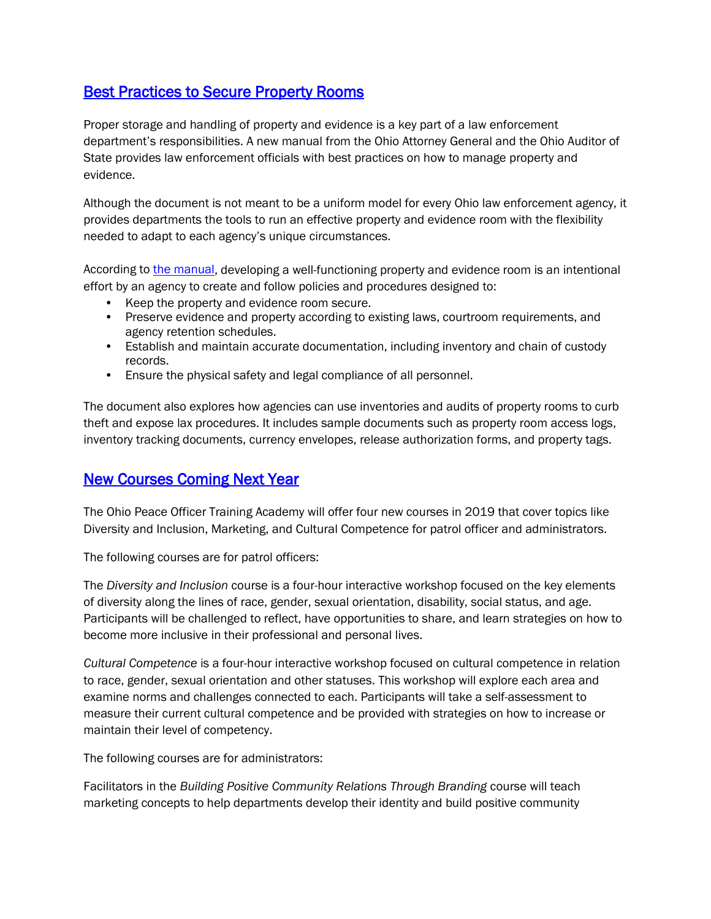#### [Best Practices to Secure Property Rooms](http://www.ohioattorneygeneral.gov/Media/Newsletters/Ohio-Peace-Officer-Training-Academy-email-newslett/November-2018-(1)/Best-Practices-to-Secure-Property-Rooms)

Proper storage and handling of property and evidence is a key part of a law enforcement department's responsibilities. A new manual from the Ohio Attorney General and the Ohio Auditor of State provides law enforcement officials with best practices on how to manage property and evidence.

Although the document is not meant to be a uniform model for every Ohio law enforcement agency, it provides departments the tools to run an effective property and evidence room with the flexibility needed to adapt to each agency's unique circumstances.

According to [the manual,](https://ohioauditor.gov/publications/2018evidenceroommanual%20FINAL.pdf) developing a well-functioning property and evidence room is an intentional effort by an agency to create and follow policies and procedures designed to:

- Keep the property and evidence room secure.
- Preserve evidence and property according to existing laws, courtroom requirements, and agency retention schedules.
- Establish and maintain accurate documentation, including inventory and chain of custody records.
- Ensure the physical safety and legal compliance of all personnel.

The document also explores how agencies can use inventories and audits of property rooms to curb theft and expose lax procedures. It includes sample documents such as property room access logs, inventory tracking documents, currency envelopes, release authorization forms, and property tags.

#### [New Courses Coming Next Year](http://www.ohioattorneygeneral.gov/Media/Newsletters/Ohio-Peace-Officer-Training-Academy-email-newslett/November-2018-(1)/New-Courses-Coming-Next-Year)

The Ohio Peace Officer Training Academy will offer four new courses in 2019 that cover topics like Diversity and Inclusion, Marketing, and Cultural Competence for patrol officer and administrators.

The following courses are for patrol officers:

The *Diversity and Inclusion* course is a four-hour interactive workshop focused on the key elements of diversity along the lines of race, gender, sexual orientation, disability, social status, and age. Participants will be challenged to reflect, have opportunities to share, and learn strategies on how to become more inclusive in their professional and personal lives.

*Cultural Competence* is a four-hour interactive workshop focused on cultural competence in relation to race, gender, sexual orientation and other statuses. This workshop will explore each area and examine norms and challenges connected to each. Participants will take a self-assessment to measure their current cultural competence and be provided with strategies on how to increase or maintain their level of competency.

The following courses are for administrators:

Facilitators in the *Building Positive Community Relations Through Branding* course will teach marketing concepts to help departments develop their identity and build positive community